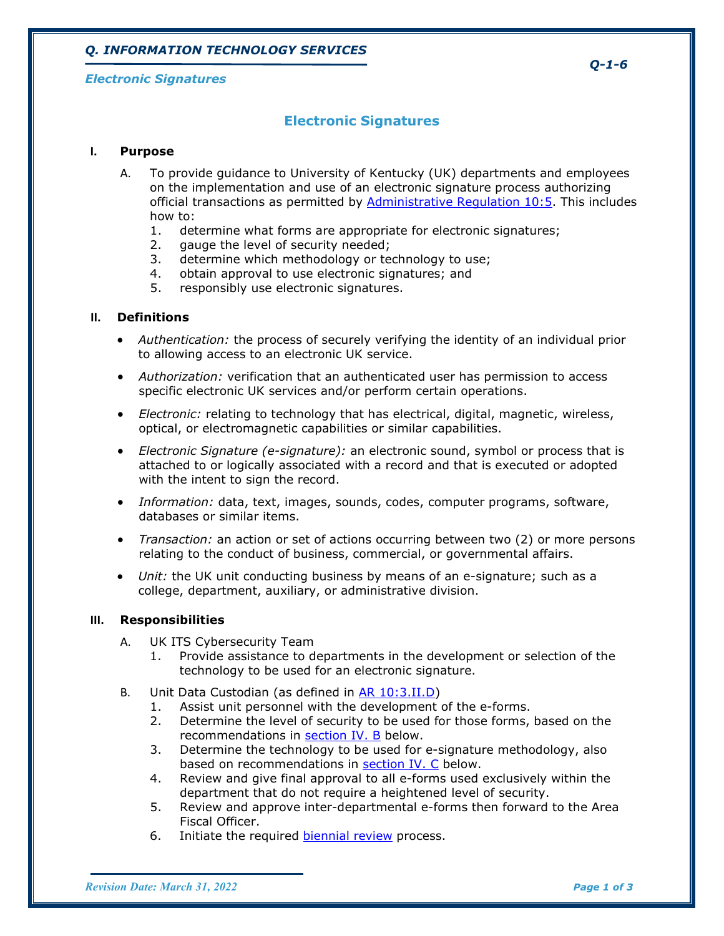# **Electronic Signatures**

### **I. Purpose**

- A. To provide guidance to University of Kentucky (UK) departments and employees on the implementation and use of an electronic signature process authorizing official transactions as permitted by **Administrative Regulation 10:5**. This includes how to:
	- 1. determine what forms are appropriate for electronic signatures;
	- 2. gauge the level of security needed;
	- 3. determine which methodology or technology to use;<br>4. obtain approval to use electronic signatures: and
	- obtain approval to use electronic signatures; and
	- 5. responsibly use electronic signatures.

### **II. Definitions**

- *Authentication:* the process of securely verifying the identity of an individual prior to allowing access to an electronic UK service.
- *Authorization:* verification that an authenticated user has permission to access specific electronic UK services and/or perform certain operations.
- *Electronic:* relating to technology that has electrical, digital, magnetic, wireless, optical, or electromagnetic capabilities or similar capabilities.
- *Electronic Signature (e-signature):* an electronic sound, symbol or process that is attached to or logically associated with a record and that is executed or adopted with the intent to sign the record.
- *Information:* data, text, images, sounds, codes, computer programs, software, databases or similar items.
- *Transaction:* an action or set of actions occurring between two (2) or more persons relating to the conduct of business, commercial, or governmental affairs.
- *Unit:* the UK unit conducting business by means of an e-signature; such as a college, department, auxiliary, or administrative division.

#### **III. Responsibilities**

- A. UK ITS Cybersecurity Team
	- 1. Provide assistance to departments in the development or selection of the technology to be used for an electronic signature.
- B. Unit Data Custodian (as defined in [AR 10:3.II.D\)](https://dib.uky.edu/regs/sites/www.uky.edu.regs/files/files/ar/ar10-3.pdf)
	- 1. Assist unit personnel with the development of the e-forms.
	- 2. Determine the level of security to be used for those forms, based on the recommendations in **section IV. B** below.
	- 3. Determine the technology to be used for e-signature methodology, also based on recommendations in [section IV. C](#page-1-1) below.
	- 4. Review and give final approval to all e-forms used exclusively within the department that do not require a heightened level of security.
	- 5. Review and approve inter-departmental e-forms then forward to the Area Fiscal Officer.
	- 6. Initiate the required [biennial review](#page-1-2) process.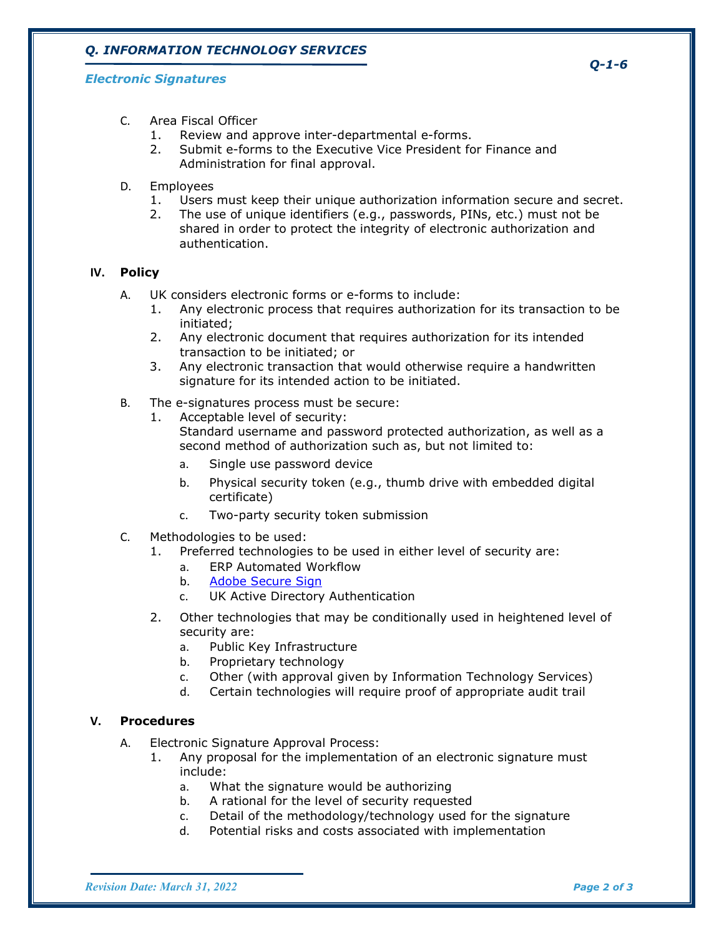# *Q. INFORMATION TECHNOLOGY SERVICES*

### *Electronic Signatures*

- C. Area Fiscal Officer
	- 1. Review and approve inter-departmental e-forms.
	- 2. Submit e-forms to the Executive Vice President for Finance and Administration for final approval.
- D. Employees
	- 1. Users must keep their unique authorization information secure and secret.
	- 2. The use of unique identifiers (e.g., passwords, PINs, etc.) must not be shared in order to protect the integrity of electronic authorization and authentication.

### **IV. Policy**

- A. UK considers electronic forms or e-forms to include:
	- 1. Any electronic process that requires authorization for its transaction to be initiated;
	- 2. Any electronic document that requires authorization for its intended transaction to be initiated; or
	- 3. Any electronic transaction that would otherwise require a handwritten signature for its intended action to be initiated.
- <span id="page-1-0"></span>B. The e-signatures process must be secure:
	- 1. Acceptable level of security:
		- Standard username and password protected authorization, as well as a second method of authorization such as, but not limited to:
		- a. Single use password device
		- b. Physical security token (e.g., thumb drive with embedded digital certificate)
		- c. Two-party security token submission
- <span id="page-1-1"></span>C. Methodologies to be used:
	- 1. Preferred technologies to be used in either level of security are:
		- a. ERP Automated Workflow
		- b. [Adobe Secure Sign](https://helpx.adobe.com/acrobat/kb/certificate-signatures.html)
		- c. UK Active Directory Authentication
	- 2. Other technologies that may be conditionally used in heightened level of security are:
		- a. Public Key Infrastructure
		- b. Proprietary technology
		- c. Other (with approval given by Information Technology Services)
		- d. Certain technologies will require proof of appropriate audit trail

#### <span id="page-1-2"></span>**V. Procedures**

- A. Electronic Signature Approval Process:
	- 1. Any proposal for the implementation of an electronic signature must include:
		- a. What the signature would be authorizing
		- b. A rational for the level of security requested
		- c. Detail of the methodology/technology used for the signature
		- d. Potential risks and costs associated with implementation